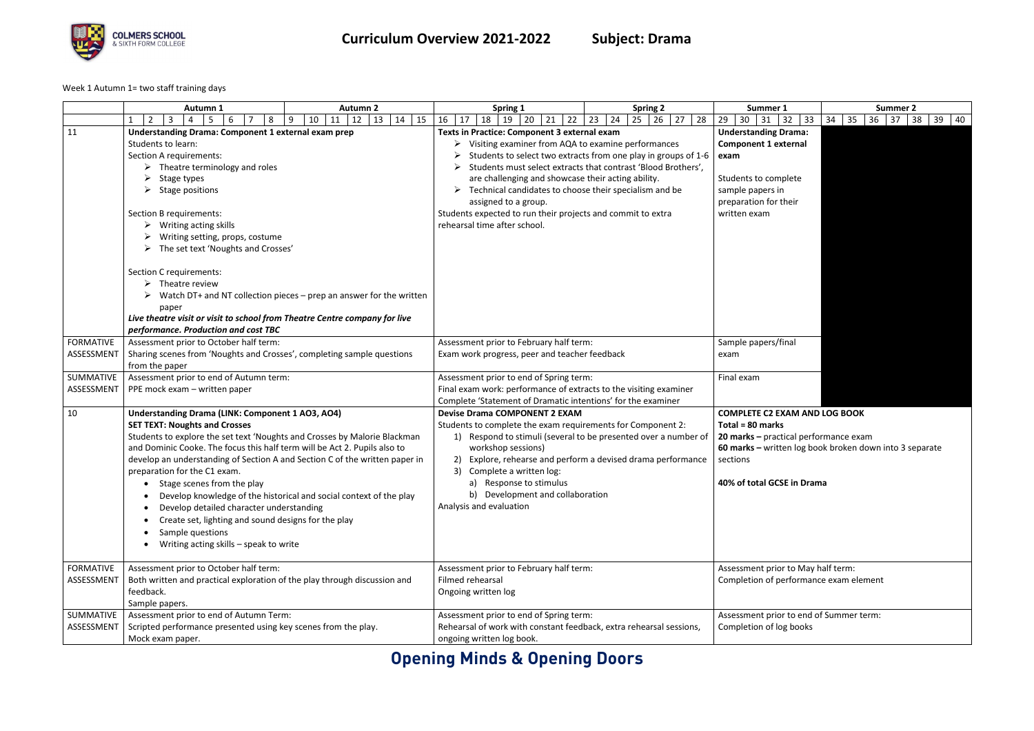## **Opening Minds & Opening Doors**



Week 1 Autumn 1= two staff training days

|                                | Autumn 1                                                                                                                                                                                                                                                                                                                                                                                                                                                                                                                                                                                                                                      | <b>Autumn 2</b>                                                     | Spring 1                                                                                                                                                                                                                                                                                                                                       | <b>Spring 2</b>                                                                                                                 | Summer 1                                                                                                                                                | <b>Summer 2</b>                                         |
|--------------------------------|-----------------------------------------------------------------------------------------------------------------------------------------------------------------------------------------------------------------------------------------------------------------------------------------------------------------------------------------------------------------------------------------------------------------------------------------------------------------------------------------------------------------------------------------------------------------------------------------------------------------------------------------------|---------------------------------------------------------------------|------------------------------------------------------------------------------------------------------------------------------------------------------------------------------------------------------------------------------------------------------------------------------------------------------------------------------------------------|---------------------------------------------------------------------------------------------------------------------------------|---------------------------------------------------------------------------------------------------------------------------------------------------------|---------------------------------------------------------|
|                                | 8<br>$\overline{2}$<br>3<br>$\overline{4}$<br>-5<br>6                                                                                                                                                                                                                                                                                                                                                                                                                                                                                                                                                                                         | 12<br>15<br>10<br>11<br>13<br>9<br>14                               | 16<br>18<br>20<br>22<br>17<br>21<br>19                                                                                                                                                                                                                                                                                                         | $27$ 28<br>23<br>24<br>26<br>25                                                                                                 | 29<br>30<br>32<br>33<br>31                                                                                                                              | 34<br>35<br>$36 \mid 37$<br>38<br>39<br>40              |
| 11                             | <b>Understanding Drama: Component 1 external exam prep</b><br>Students to learn:<br>Section A requirements:<br>$\triangleright$ Theatre terminology and roles<br>Stage types<br>Stage positions<br>Section B requirements:<br>Writing acting skills<br>Writing setting, props, costume<br>The set text 'Noughts and Crosses'<br>Section C requirements:<br>$\triangleright$ Theatre review<br>paper<br>Live theatre visit or visit to school from Theatre Centre company for live<br>performance. Production and cost TBC                                                                                                                     | Watch DT+ and NT collection pieces – prep an answer for the written | Texts in Practice: Component 3 external exam<br>Visiting examiner from AQA to examine performances<br>are challenging and showcase their acting ability.<br>Technical candidates to choose their specialism and be<br>➤<br>assigned to a group.<br>Students expected to run their projects and commit to extra<br>rehearsal time after school. | Students to select two extracts from one play in groups of 1-6<br>Students must select extracts that contrast 'Blood Brothers', | <b>Understanding Drama:</b><br><b>Component 1 external</b><br>exam<br>Students to complete<br>sample papers in<br>preparation for their<br>written exam |                                                         |
| <b>FORMATIVE</b>               | Assessment prior to October half term:                                                                                                                                                                                                                                                                                                                                                                                                                                                                                                                                                                                                        |                                                                     | Assessment prior to February half term:                                                                                                                                                                                                                                                                                                        |                                                                                                                                 | Sample papers/final                                                                                                                                     |                                                         |
| ASSESSMENT                     | Sharing scenes from 'Noughts and Crosses', completing sample questions                                                                                                                                                                                                                                                                                                                                                                                                                                                                                                                                                                        |                                                                     | Exam work progress, peer and teacher feedback                                                                                                                                                                                                                                                                                                  |                                                                                                                                 | exam                                                                                                                                                    |                                                         |
|                                | from the paper                                                                                                                                                                                                                                                                                                                                                                                                                                                                                                                                                                                                                                |                                                                     |                                                                                                                                                                                                                                                                                                                                                |                                                                                                                                 |                                                                                                                                                         |                                                         |
| SUMMATIVE<br>ASSESSMENT        | Assessment prior to end of Autumn term:<br>PPE mock exam - written paper                                                                                                                                                                                                                                                                                                                                                                                                                                                                                                                                                                      |                                                                     | Assessment prior to end of Spring term:<br>Final exam work: performance of extracts to the visiting examiner                                                                                                                                                                                                                                   |                                                                                                                                 | Final exam                                                                                                                                              |                                                         |
|                                |                                                                                                                                                                                                                                                                                                                                                                                                                                                                                                                                                                                                                                               |                                                                     | Complete 'Statement of Dramatic intentions' for the examiner                                                                                                                                                                                                                                                                                   |                                                                                                                                 |                                                                                                                                                         |                                                         |
| 10                             | <b>Understanding Drama (LINK: Component 1 AO3, AO4)</b><br><b>SET TEXT: Noughts and Crosses</b><br>Students to explore the set text 'Noughts and Crosses by Malorie Blackman<br>and Dominic Cooke. The focus this half term will be Act 2. Pupils also to<br>develop an understanding of Section A and Section C of the written paper in<br>preparation for the C1 exam.<br>Stage scenes from the play<br>Develop knowledge of the historical and social context of the play<br>Develop detailed character understanding<br>Create set, lighting and sound designs for the play<br>Sample questions<br>Writing acting skills - speak to write |                                                                     | <b>Devise Drama COMPONENT 2 EXAM</b><br>Students to complete the exam requirements for Component 2:<br>1)<br>workshop sessions)<br>2)<br>Complete a written log:<br>3)<br>Response to stimulus<br>a)<br>b) Development and collaboration<br>Analysis and evaluation                                                                            | Respond to stimuli (several to be presented over a number of<br>Explore, rehearse and perform a devised drama performance       | <b>COMPLETE C2 EXAM AND LOG BOOK</b><br>Total = 80 marks<br>20 marks - practical performance exam<br>sections<br>40% of total GCSE in Drama             | 60 marks - written log book broken down into 3 separate |
| <b>FORMATIVE</b><br>ASSESSMENT | Assessment prior to October half term:<br>Both written and practical exploration of the play through discussion and<br>feedback.<br>Sample papers.                                                                                                                                                                                                                                                                                                                                                                                                                                                                                            |                                                                     | Assessment prior to February half term:<br>Filmed rehearsal<br>Ongoing written log                                                                                                                                                                                                                                                             |                                                                                                                                 | Assessment prior to May half term:<br>Completion of performance exam element                                                                            |                                                         |
| SUMMATIVE                      | Assessment prior to end of Autumn Term:                                                                                                                                                                                                                                                                                                                                                                                                                                                                                                                                                                                                       |                                                                     | Assessment prior to end of Spring term:                                                                                                                                                                                                                                                                                                        |                                                                                                                                 | Assessment prior to end of Summer term:                                                                                                                 |                                                         |
| ASSESSMENT                     | Scripted performance presented using key scenes from the play.<br>Mock exam paper.                                                                                                                                                                                                                                                                                                                                                                                                                                                                                                                                                            |                                                                     | Rehearsal of work with constant feedback, extra rehearsal sessions,<br>ongoing written log book.                                                                                                                                                                                                                                               |                                                                                                                                 | Completion of log books                                                                                                                                 |                                                         |
|                                |                                                                                                                                                                                                                                                                                                                                                                                                                                                                                                                                                                                                                                               |                                                                     |                                                                                                                                                                                                                                                                                                                                                |                                                                                                                                 |                                                                                                                                                         |                                                         |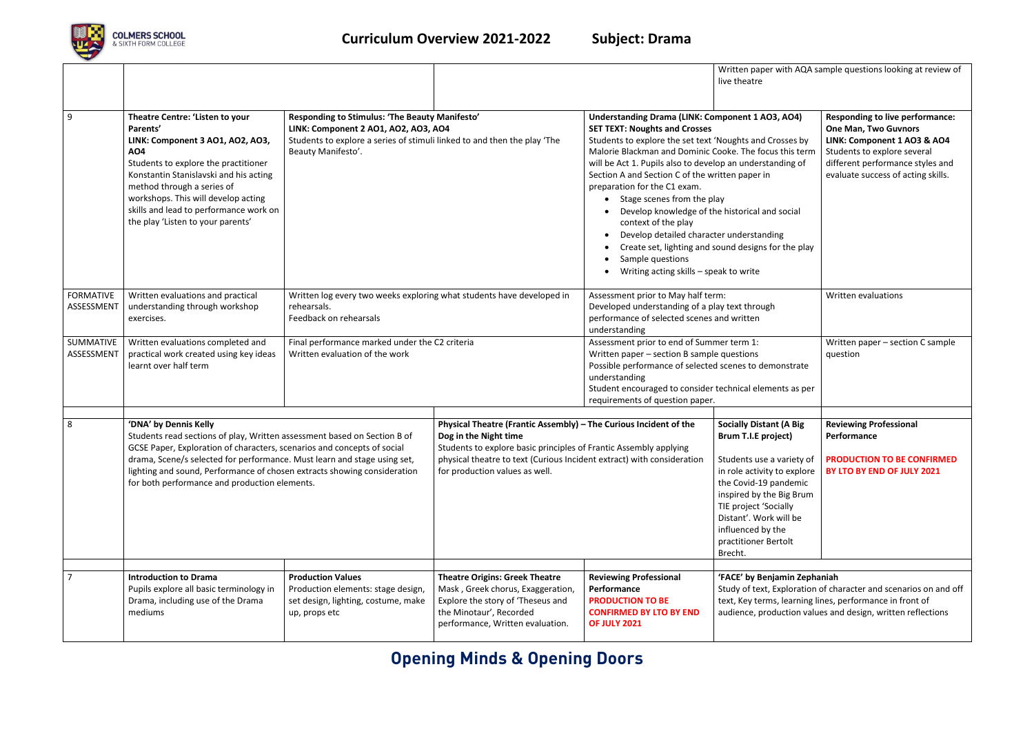## **Opening Minds & Opening Doors**



| 8                              | 'DNA' by Dennis Kelly<br>Students read sections of play, Written assessment based on Section B of                                                                                                                                                                                                                                   |                                                                                                                                                                                          | Physical Theatre (Frantic Assembly) - The Curious Incident of the<br>Dog in the Night time |                                                                                                                                                                                                                                                                                                                                                                                                                                                                                                                                                                                         | <b>Socially Distant (A Big</b><br>Brum T.I.E project)               | <b>Reviewing Professional</b><br>Performance                                                                                                                                                                  |  |
|--------------------------------|-------------------------------------------------------------------------------------------------------------------------------------------------------------------------------------------------------------------------------------------------------------------------------------------------------------------------------------|------------------------------------------------------------------------------------------------------------------------------------------------------------------------------------------|--------------------------------------------------------------------------------------------|-----------------------------------------------------------------------------------------------------------------------------------------------------------------------------------------------------------------------------------------------------------------------------------------------------------------------------------------------------------------------------------------------------------------------------------------------------------------------------------------------------------------------------------------------------------------------------------------|---------------------------------------------------------------------|---------------------------------------------------------------------------------------------------------------------------------------------------------------------------------------------------------------|--|
|                                |                                                                                                                                                                                                                                                                                                                                     |                                                                                                                                                                                          |                                                                                            | requirements of question paper.                                                                                                                                                                                                                                                                                                                                                                                                                                                                                                                                                         |                                                                     |                                                                                                                                                                                                               |  |
| SUMMATIVE<br>ASSESSMENT        | Written evaluations completed and<br>practical work created using key ideas<br>learnt over half term                                                                                                                                                                                                                                | Final performance marked under the C2 criteria<br>Written evaluation of the work                                                                                                         |                                                                                            | Assessment prior to end of Summer term 1:<br>Written paper - section B sample questions<br>Possible performance of selected scenes to demonstrate<br>understanding<br>Student encouraged to consider technical elements as per                                                                                                                                                                                                                                                                                                                                                          |                                                                     | Written paper - section C sample<br>question                                                                                                                                                                  |  |
| <b>FORMATIVE</b><br>ASSESSMENT | Written evaluations and practical<br>understanding through workshop<br>exercises.                                                                                                                                                                                                                                                   | Written log every two weeks exploring what students have developed in<br>rehearsals.<br>Feedback on rehearsals                                                                           |                                                                                            | Assessment prior to May half term:<br>Developed understanding of a play text through<br>performance of selected scenes and written<br>understanding                                                                                                                                                                                                                                                                                                                                                                                                                                     |                                                                     | Written evaluations                                                                                                                                                                                           |  |
| 9                              | Theatre Centre: 'Listen to your<br>Parents'<br>LINK: Component 3 AO1, AO2, AO3,<br><b>AO4</b><br>Students to explore the practitioner<br>Konstantin Stanislavski and his acting<br>method through a series of<br>workshops. This will develop acting<br>skills and lead to performance work on<br>the play 'Listen to your parents' | Responding to Stimulus: 'The Beauty Manifesto'<br>LINK: Component 2 AO1, AO2, AO3, AO4<br>Students to explore a series of stimuli linked to and then the play 'The<br>Beauty Manifesto'. |                                                                                            | <b>Understanding Drama (LINK: Component 1 AO3, AO4)</b><br><b>SET TEXT: Noughts and Crosses</b><br>Students to explore the set text 'Noughts and Crosses by<br>Malorie Blackman and Dominic Cooke. The focus this term<br>will be Act 1. Pupils also to develop an understanding of<br>Section A and Section C of the written paper in<br>preparation for the C1 exam.<br>Stage scenes from the play<br>Develop knowledge of the historical and social<br>context of the play<br>Develop detailed character understanding<br>Sample questions<br>Writing acting skills - speak to write | live theatre<br>Create set, lighting and sound designs for the play | <b>Responding to live performance:</b><br><b>One Man, Two Guvnors</b><br>LINK: Component 1 AO3 & AO4<br>Students to explore several<br>different performance styles and<br>evaluate success of acting skills. |  |
|                                |                                                                                                                                                                                                                                                                                                                                     |                                                                                                                                                                                          |                                                                                            |                                                                                                                                                                                                                                                                                                                                                                                                                                                                                                                                                                                         | Written paper with AQA sample questions looking at review of        |                                                                                                                                                                                                               |  |